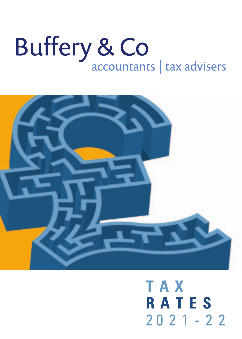# Buffery & Co<br>accountants | tax advisers



## **TAX RATES**  $2021 - 22$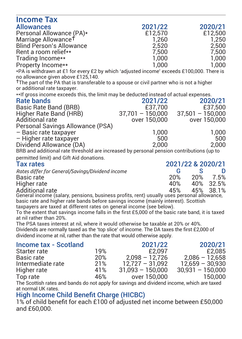| Income Tax                                                                                                                                                                       |                    |                     |
|----------------------------------------------------------------------------------------------------------------------------------------------------------------------------------|--------------------|---------------------|
| <b>Allowances</b>                                                                                                                                                                | 2021/22            | 2020/21             |
| Personal Allowance (PA)*                                                                                                                                                         | £12,570            | £12,500             |
| Marriage Allowance <sup>T</sup>                                                                                                                                                  | 1.260              | 1.250               |
| <b>Blind Person's Allowance</b>                                                                                                                                                  | 2,520              | 2,500               |
| Rent a room relief**                                                                                                                                                             | 7.500              | 7.500               |
| Trading Income**                                                                                                                                                                 | 1.000              | 1.000               |
| Property Income**                                                                                                                                                                | 1.000              | 1.000               |
| *PA is withdrawn at £1 for every £2 by which 'adjusted income' exceeds £100,000. There is<br>no allowance given above £125,140.                                                  |                    |                     |
| <sup>†</sup> The part of the PA that is transferable to a spouse or civil partner who is not a higher<br>or additional rate taxpayer.                                            |                    |                     |
| ** If gross income exceeds this, the limit may be deducted instead of actual expenses.                                                                                           |                    |                     |
| Rate bands                                                                                                                                                                       | 2021/22            | 2020/21             |
| Basic Rate Band (BRB)                                                                                                                                                            | £37,700            | £37,500             |
| Higher Rate Band (HRB)                                                                                                                                                           | 37,701 - 150,000   | $37.501 - 150.000$  |
| Additional rate                                                                                                                                                                  | over 150.000       | over 150,000        |
| Personal Savings Allowance (PSA)                                                                                                                                                 |                    |                     |
| - Basic rate taxpayer                                                                                                                                                            | 1.000              | 1.000               |
| - Higher rate taxpayer                                                                                                                                                           | 500                | 500                 |
| Dividend Allowance (DA)                                                                                                                                                          | 2.000              | 2.000               |
| BRB and additional rate threshold are increased by personal pension contributions (up to                                                                                         |                    |                     |
| permitted limit) and Gift Aid donations.                                                                                                                                         |                    |                     |
| <b>Tax rates</b>                                                                                                                                                                 |                    | 2021/22 & 2020/21   |
| Rates differ for General/Savings/Dividend income                                                                                                                                 |                    | G<br>s<br>D         |
| Basic rate                                                                                                                                                                       |                    | 20%<br>20%<br>7.5%  |
| Higher rate                                                                                                                                                                      |                    | 40%<br>32.5%<br>40% |
| Additional rate                                                                                                                                                                  |                    | 45%<br>45%<br>38.1% |
| General income (salary, pensions, business profits, rent) usually uses personal allowance,<br>basic rate and higher rate bands before savings income (mainly interest). Scottish |                    |                     |
| taxpayers are taxed at different rates on general income (see below).                                                                                                            |                    |                     |
| To the extent that savings income falls in the first £5,000 of the basic rate band, it is taxed                                                                                  |                    |                     |
| at nil rather than 20%.                                                                                                                                                          |                    |                     |
| The PSA taxes interest at nil, where it would otherwise be taxable at 20% or 40%.                                                                                                |                    |                     |
| Dividends are normally taxed as the 'top slice' of income. The DA taxes the first £2,000 of                                                                                      |                    |                     |
| dividend income at nil, rather than the rate that would otherwise apply.                                                                                                         |                    |                     |
| Income tax - Scotland                                                                                                                                                            | 2021/22            | 2020/21             |
| 19%<br>Starter rate                                                                                                                                                              | £2.097             | £2.085              |
| 20%<br>Basic rate                                                                                                                                                                | $2,098 - 12,726$   | $2,086 - 12,658$    |
| 21%<br>Intermediate rate                                                                                                                                                         | $12.727 - 31.092$  | $12.659 - 30.930$   |
| 41%<br>Higher rate                                                                                                                                                               | $31,093 - 150,000$ | $30,931 - 150,000$  |
| 46%<br>Top rate                                                                                                                                                                  | over 150,000       | 150,000             |
| The Seattish rates and bands do not apply for sovings and dividend income which are taxed                                                                                        |                    |                     |

bands do not apply for savings and dividend income, which are ta at normal UK rates.

High Income Child Benefit Charge (HICBC) 1% of child benefit for each £100 of adjusted net income between £50,000 and £60,000.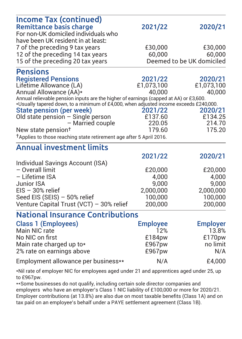| Income Tax (continued)<br><b>Remittance basis charge</b><br>For non-UK domiciled individuals who<br>have been UK resident in at least:                                                                                         | 2021/22         | 2020/21                   |
|--------------------------------------------------------------------------------------------------------------------------------------------------------------------------------------------------------------------------------|-----------------|---------------------------|
| 7 of the preceding 9 tax years                                                                                                                                                                                                 | £30,000         | £30,000                   |
| 12 of the preceding 14 tax years                                                                                                                                                                                               | 60.000          | 60.000                    |
| 15 of the preceding 20 tax years                                                                                                                                                                                               |                 | Deemed to be UK domiciled |
| <b>Pensions</b>                                                                                                                                                                                                                |                 |                           |
| <b>Registered Pensions</b>                                                                                                                                                                                                     | 2021/22         | 2020/21                   |
| Lifetime Allowance (LA)                                                                                                                                                                                                        | £1,073,100      | £1,073,100                |
| Annual Allowance (AA)*                                                                                                                                                                                                         | 40.000          | 40,000                    |
| Annual relievable pension inputs are the higher of earnings (capped at AA) or £3,600.                                                                                                                                          |                 |                           |
| *Usually tapered down, to a minimum of £4,000, when adjusted income exceeds £240,000.<br>State pension (per week)                                                                                                              | 2021/22         | 2020/21                   |
| Old state pension - Single person                                                                                                                                                                                              | £137.60         | £134.25                   |
| - Married couple                                                                                                                                                                                                               | 220.05          | 214.70                    |
| New state pension <sup>+</sup>                                                                                                                                                                                                 | 179.60          | 175.20                    |
| <sup>†</sup> Applies to those reaching state retirement age after 5 April 2016.                                                                                                                                                |                 |                           |
| <b>Annual investment limits</b>                                                                                                                                                                                                |                 |                           |
|                                                                                                                                                                                                                                | 2021/22         | 2020/21                   |
| Individual Savings Account (ISA)                                                                                                                                                                                               |                 |                           |
| - Overall limit                                                                                                                                                                                                                | £20,000         | £20,000                   |
| - Lifetime ISA                                                                                                                                                                                                                 | 4.000           | 4.000                     |
| Junior ISA                                                                                                                                                                                                                     | 9.000           | 9.000                     |
| $EIS - 30%$ relief                                                                                                                                                                                                             | 2.000.000       | 2,000,000                 |
| Seed EIS (SEIS) - 50% relief                                                                                                                                                                                                   | 100.000         | 100.000                   |
| Venture Capital Trust (VCT) - 30% relief                                                                                                                                                                                       | 200.000         | 200.000                   |
| <b>National Insurance Contributions</b>                                                                                                                                                                                        |                 |                           |
| Class 1 (Employees)                                                                                                                                                                                                            | <b>Employee</b> | <b>Employer</b>           |
| Main NIC rate                                                                                                                                                                                                                  | 12%             | 13.8%                     |
| No NIC on first                                                                                                                                                                                                                | £184pw          | £170pw                    |
| Main rate charged up to*                                                                                                                                                                                                       | £967pw          | no limit                  |
| 2% rate on earnings above                                                                                                                                                                                                      | £967pw          | N/A                       |
| Employment allowance per business**                                                                                                                                                                                            | N/A             | £4,000                    |
| and the contract of the contract of the contract of the contract of the contract of the contract of the contract of the contract of the contract of the contract of the contract of the contract of the contract of the contra |                 |                           |

\*Nil rate of employer NIC for employees aged under 21 and apprentices aged under 25, up to £967pw.

\*\*Some businesses do not qualify, including certain sole director companies and employers who have an employer's Class 1 NIC liability of £100,000 or more for 2020/21. Employer contributions (at 13.8%) are also due on most taxable benefits (Class 1A) and on tax paid on an employee's behalf under a PAYE settlement agreement (Class 1B).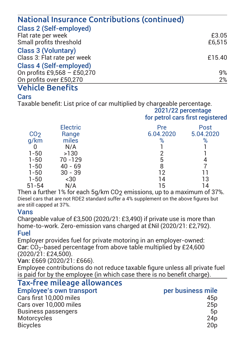| National Insurance Contributions (continued) |        |
|----------------------------------------------|--------|
| Class 2 (Self-employed)                      |        |
| Flat rate per week                           | £3.05  |
| Small profits threshold                      | £6.515 |
| Class 3 (Voluntary)                          |        |
| Class 3: Flat rate per week                  | £15.40 |
| Class 4 (Self-emploved)                      |        |
| On profits £9,568 - £50,270                  | 9%     |
| On profits over £50,270                      | 2%     |

#### Vehicle Benefits

#### **Cars**

Taxable benefit: List price of car multiplied by chargeable percentage.

 2021/22 percentage for petrol cars first registered

|                 | <b>Electric</b> | Pre       | Post      |
|-----------------|-----------------|-----------|-----------|
| CO <sub>2</sub> | Range           | 6.04.2020 | 5.04.2020 |
| q/km            | miles           | %         | %         |
|                 | N/A             |           |           |
| $1 - 50$        | >130            |           |           |
| $1 - 50$        | 70 - 129        | 5         |           |
| $1 - 50$        | $40 - 69$       | 8         |           |
| $1 - 50$        | $30 - 39$       | 12        |           |
| $1 - 50$        | $-30$           | 14        | 13        |
| $51 - 54$       | N/A             | 15        | 14        |
|                 |                 |           |           |

Then a further  $1\%$  for each 5q/km CO<sub>2</sub> emissions, up to a maximum of 37%. Diesel cars that are not BDE2 standard suffer a 4% supplement on the above figures but are still capped at 37%.

#### Vans

Chargeable value of £3,500 (2020/21: £3,490) if private use is more than home-to-work. Zero-emission vans charged at £Nil (2020/21: £2,792). Fuel

Employer provides fuel for private motoring in an employer-owned: Car: CO2-based percentage from above table multiplied by £24,600 (2020/21: £24,500).

Van: £669 (2020/21: £666).

Employee contributions do not reduce taxable figure unless all private fuel is paid for by the employee (in which case there is no benefit charge).

#### Tax-free mileage allowances

| <b>Employee's own transport</b> | per business mile |
|---------------------------------|-------------------|
| Cars first 10,000 miles         | 45 <sub>D</sub>   |
| Cars over 10,000 miles          | 25p               |
| Business passengers             | 5 <sub>D</sub>    |
| Motorcycles                     | 24 <sub>D</sub>   |
| <b>Bicycles</b>                 | 20 <sub>D</sub>   |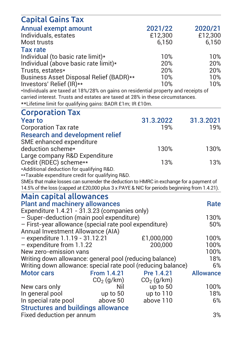| <b>Capital Gains Tax</b>                                                                     |              |              |                  |
|----------------------------------------------------------------------------------------------|--------------|--------------|------------------|
| Annual exempt amount                                                                         |              | 2021/22      | 2020/21          |
| Individuals, estates                                                                         |              | £12,300      | £12,300          |
| Most trusts                                                                                  |              | 6,150        | 6.150            |
| <b>Tax rate</b>                                                                              |              |              |                  |
| Individual (to basic rate limit)*                                                            |              | 10%          | 10%              |
| Individual (above basic rate limit)*                                                         |              | 20%          | 20%              |
| Trusts, estates*                                                                             |              | 20%          | 20%              |
| Business Asset Disposal Relief (BADR)**                                                      |              | 10%          | 10%              |
| Investors' Relief (IR)**                                                                     |              | 10%          | 10%              |
| *Individuals are taxed at 18%/28% on gains on residential property and receipts of           |              |              |                  |
| carried interest. Trusts and estates are taxed at 28% in these circumstances.                |              |              |                  |
| **Lifetime limit for qualifying gains: BADR £1m; IR £10m.                                    |              |              |                  |
| <b>Corporation Tax</b>                                                                       |              |              |                  |
| <b>Year to</b>                                                                               |              | 31.3.2022    | 31.3.2021        |
| <b>Corporation Tax rate</b>                                                                  |              | 19%          | 19%              |
| <b>Research and development relief</b>                                                       |              |              |                  |
| SME enhanced expenditure                                                                     |              |              |                  |
| deduction scheme*                                                                            |              | 130%         | 130%             |
| Large company R&D Expenditure                                                                |              |              |                  |
| Credit (RDEC) scheme**                                                                       |              | 13%          | 13%              |
| *Additional deduction for qualifying R&D.                                                    |              |              |                  |
| **Taxable expenditure credit for qualifying R&D.                                             |              |              |                  |
| SMEs that make losses can surrender the deduction to HMRC in exchange for a payment of       |              |              |                  |
| 14.5% of the loss (capped at £20,000 plus 3 x PAYE & NIC for periods beginning from 1.4.21). |              |              |                  |
| Main capital allowances                                                                      |              |              |                  |
| <b>Plant and machinery allowances</b>                                                        |              |              | Rate             |
| Expenditure 1.4.21 - 31.3.23 (companies only)                                                |              |              |                  |
| - Super-deduction (main pool expenditure)                                                    |              |              | 130%             |
| - First-year allowance (special rate pool expenditure)                                       |              |              | 50%              |
| Annual Investment Allowance (AIA)                                                            |              |              |                  |
| - expenditure 1.1.19 - 31.12.21                                                              |              | £1.000.000   | 100%             |
| - expenditure from 1.1.22                                                                    |              | 200.000      | 100%             |
| New zero-emission vans                                                                       |              |              | 100%             |
| Writing down allowance: general pool (reducing balance)                                      |              |              | 18%              |
| Writing down allowance: special rate pool (reducing balance)                                 |              |              | 6%               |
| <b>Motor cars</b>                                                                            | From 1.4.21  | Pre 1.4.21   | <b>Allowance</b> |
|                                                                                              | $CO2$ (g/km) | $CO2$ (g/km) |                  |
| New cars only                                                                                | Nil          | up to 50     | 100%             |
| In general pool                                                                              | up to 50     | up to 110    | 18%              |
| In special rate pool                                                                         | above 50     | above 110    | 6%               |
| <b>Structures and buildings allowance</b>                                                    |              |              |                  |
| Fixed deduction per annum                                                                    |              |              | 3%               |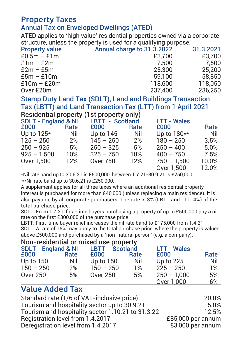#### Property Taxes Annual Tax on Enveloped Dwellings (ATED)

ATED applies to 'high value' residential properties owned via a corporate structure, unless the property is used for a qualifying purpose.

| <b>Property value</b> | Annual charge to 31.3.2022 | 31.3.2021 |
|-----------------------|----------------------------|-----------|
| $£0.5m - £1m$         | £3,700                     | £3,700    |
| $£1m - £2m$           | 7.500                      | 7.500     |
| $E2m - E5m$           | 25,300                     | 25.200    |
| $E5m - E10m$          | 59.100                     | 58.850    |
| $£10m - £20m$         | 118,600                    | 118.050   |
| Over £20m             | 237.400                    | 236.250   |
|                       |                            |           |

Stamp Duty Land Tax (SDLT), Land and Buildings Transaction Tax (LBTT) and Land Transaction Tax (LTT) from 1 April 2021 Residential property (1st property only)

|                                |      | residential property (ist property only) |      |                    |       |
|--------------------------------|------|------------------------------------------|------|--------------------|-------|
| <b>SDLT - England &amp; NI</b> |      | LBTT - Scotland                          |      | <b>LTT - Wales</b> |       |
| £000                           | Rate | £000                                     | Rate | £000               | Rate  |
| Up to $125*$                   | Nil  | Up to 145                                | Nil  | Up to 180**        | Nil   |
| $125 - 250$                    | 2%   | $145 - 250$                              | 2%   | $180 - 250$        | 3.5%  |
| $250 - 925$                    | 5%   | $250 - 325$                              | 5%   | $250 - 400$        | 5.0%  |
| $925 - 1.500$                  | 10%  | $325 - 750$                              | 10%  | $400 - 750$        | 7.5%  |
| Over 1.500                     | 12%  | Over 750                                 | 12%  | $750 - 1.500$      | 10.0% |
|                                |      |                                          |      | Over 1.500         | 12.0% |
|                                |      |                                          |      |                    |       |

\*Nil rate band up to 30.6.21 is £500,000, between 1.7.21-30.9.21 is £250,000. \*\*Nil rate band up to 30.6.21 is £250,000.

A supplement applies for all three taxes where an additional residential property interest is purchased for more than £40,000 (unless replacing a main residence). It is also payable by all corporate purchasers. The rate is 3% (LBTT and LTT: 4%) of the total purchase price.

SDLT: From 1.7.21, first-time buyers purchasing a property of up to £500,000 pay a nil rate on the first £300,000 of the purchase price.

LBTT: First-time buyer relief increases the nil rate band to £175,000 from 1.4.21.

SDLT: A rate of 15% may apply to the total purchase price, where the property is valued above £500,000 and purchased by a 'non-natural person' (e.g. a company).

Non-residential or mixed use property

| <b>SDLT - England &amp; NI</b> |      | <b>LBTT - Scotland</b> |      | <b>LTT - Wales</b> |      |  |
|--------------------------------|------|------------------------|------|--------------------|------|--|
| £000                           | Rate | £000                   | Rate | £000               | Rate |  |
| Up to 150                      | Nil  | Up to 150              | Nil  | Up to 225          | Nil  |  |
| $150 - 250$                    | 2%   | $150 - 250$            | 1%   | $225 - 250$        | 1%   |  |
| Over 250                       | 5%   | Over 250               | 5%   | $250 - 1.000$      | 5%   |  |
|                                |      |                        |      | Over 1.000         | 6%   |  |

#### Value Added Tax

| Standard rate (1/6 of VAT-inclusive price)        | 20.0%             |
|---------------------------------------------------|-------------------|
| Tourism and hospitality sector up to 30.9.21      | 5.0%              |
| Tourism and hospitality sector 1.10.21 to 31.3.22 | 12.5%             |
| Registration level from 1.4.2017                  | £85,000 per annum |
| Deregistration level from 1.4.2017                | 83,000 per annum  |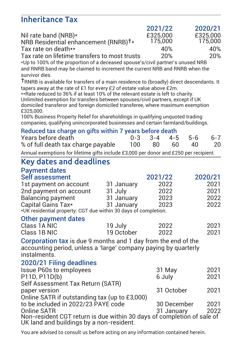#### Inheritance Tax

|                                                  | 2021/22  | 2020/21  |
|--------------------------------------------------|----------|----------|
| Nil rate band (NRB)*                             | £325,000 | £325,000 |
| NRB Residential enhancement (RNRB) <sup>+*</sup> | 175,000  | 175,000  |
| Tax rate on death**                              | 40%      | 40%      |
| Tax rate on lifetime transfers to most trusts    | 20%      | 20%      |

Tax rate on lifetime transfers to most trusts 20% 20% \*Up to 100% of the proportion of a deceased spouse's/civil partner's unused NRB and RNRB band may be claimed to increment the current NRB and RNRB when the survivor dies.

†RNRB is available for transfers of a main residence to (broadly) direct descendants. It tapers away at the rate of £1 for every £2 of estate value above £2m.

\*\*Rate reduced to 36% if at least 10% of the relevant estate is left to charity.

Unlimited exemption for transfers between spouses/civil partners, except if UK domiciled transferor and foreign domiciled transferee, where maximum exemption £325,000.

100% Business Property Relief for shareholdings in qualifying unquoted trading companies, qualifying unincorporated businesses and certain farmland/buildings.

#### Reduced tax charge on gifts within 7 years before death

| Years before death |                                    |  |       | $0-3$ $3-4$ $4-5$ $5-6$ $6-7$ |      |    |
|--------------------|------------------------------------|--|-------|-------------------------------|------|----|
|                    | % of full death tax charge payable |  | 100 - | 80 60                         | - 40 | 20 |
|                    |                                    |  | ----- |                               |      |    |

Annual exemptions for lifetime gifts include £3,000 per donor and £250 per recipient.

#### Key dates and deadlines

#### Payment dates

| Self assessment                                                 |            | 2021/22 | 2020/21 |
|-----------------------------------------------------------------|------------|---------|---------|
| 1st payment on account                                          | 31 January | 2022    | 2021    |
| 2nd payment on account                                          | 31 July    | 2022    | 2021    |
| Balancing payment                                               | 31 January | 2023    | 2022    |
| Capital Gains Tax*                                              | 31 January | 2023    | 2022    |
| *UK residential property: CGT due within 30 days of completion. |            |         |         |

#### Other payment dates

| Class 1A NIC | 19 July    | 2022 | 2021 |
|--------------|------------|------|------|
| Class 1B NIC | 19 October | 2022 | 2021 |

Corporation tax is due 9 months and 1 day from the end of the accounting period, unless a 'large' company paying by quarterly instalments<sup>'</sup>

#### 2020/21 Filing deadlines

| Issue P60s to employees                                                                                            | 31 May      | 2021 |
|--------------------------------------------------------------------------------------------------------------------|-------------|------|
| P11D, P11D(b)                                                                                                      | 6 July      | 2021 |
| Self Assessment Tax Return (SATR)                                                                                  |             |      |
| paper version                                                                                                      | 31 October  | 2021 |
| Online SATR if outstanding tax (up to £3,000)                                                                      |             |      |
| to be included in 2022/23 PAYE code                                                                                | 30 December | 2021 |
| Online SATR                                                                                                        | 31 January  | 2022 |
| Non-resident CGT return is due within 30 days of completion of sale of<br>UK land and buildings by a non-resident. |             |      |
|                                                                                                                    |             |      |

You are advised to consult us before acting on any information contained herein.